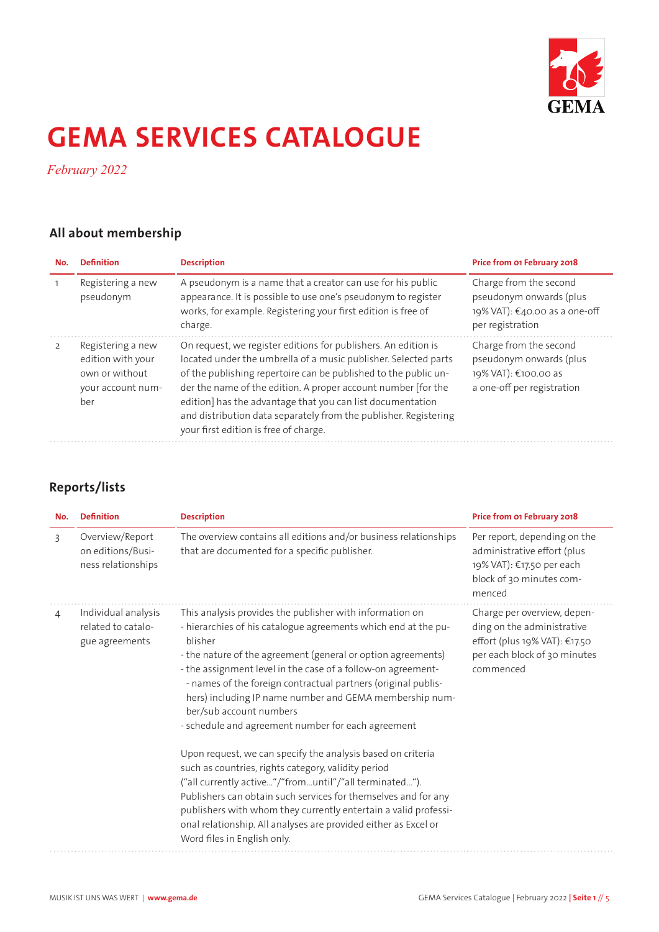

# **GEMA SERVICES CATALOGUE**

*February 2022*

## **All about membership**

| No. | <b>Definition</b>                                                                    | <b>Description</b>                                                                                                                                                                                                                                                                                                                                                                                                                               | Price from 01 February 2018                                                                             |
|-----|--------------------------------------------------------------------------------------|--------------------------------------------------------------------------------------------------------------------------------------------------------------------------------------------------------------------------------------------------------------------------------------------------------------------------------------------------------------------------------------------------------------------------------------------------|---------------------------------------------------------------------------------------------------------|
|     | Registering a new<br>pseudonym                                                       | A pseudonym is a name that a creator can use for his public<br>appearance. It is possible to use one's pseudonym to register<br>works, for example. Registering your first edition is free of<br>charge.                                                                                                                                                                                                                                         | Charge from the second<br>pseudonym onwards (plus<br>19% VAT): €40.00 as a one-off<br>per registration  |
|     | Registering a new<br>edition with your<br>own or without<br>your account num-<br>her | On request, we register editions for publishers. An edition is<br>located under the umbrella of a music publisher. Selected parts<br>of the publishing repertoire can be published to the public un-<br>der the name of the edition. A proper account number [for the<br>edition] has the advantage that you can list documentation<br>and distribution data separately from the publisher. Registering<br>your first edition is free of charge. | Charge from the second<br>pseudonym onwards (plus<br>19% VAT): €100.00 as<br>a one-off per registration |

## **Reports/lists**

| <b>Definition</b>                                           | <b>Description</b>                                                                                                                                                                                                                                                                                                                                                                                                                                                                                                                                                                                                                                                                                                                                                                                                                                                                                        | Price from 01 February 2018                                                                                                             |
|-------------------------------------------------------------|-----------------------------------------------------------------------------------------------------------------------------------------------------------------------------------------------------------------------------------------------------------------------------------------------------------------------------------------------------------------------------------------------------------------------------------------------------------------------------------------------------------------------------------------------------------------------------------------------------------------------------------------------------------------------------------------------------------------------------------------------------------------------------------------------------------------------------------------------------------------------------------------------------------|-----------------------------------------------------------------------------------------------------------------------------------------|
| Overview/Report<br>on editions/Busi-<br>ness relationships  | The overview contains all editions and/or business relationships<br>that are documented for a specific publisher.                                                                                                                                                                                                                                                                                                                                                                                                                                                                                                                                                                                                                                                                                                                                                                                         | Per report, depending on the<br>administrative effort (plus<br>19% VAT): €17.50 per each<br>block of 30 minutes com-<br>menced          |
| Individual analysis<br>related to catalo-<br>gue agreements | This analysis provides the publisher with information on<br>- hierarchies of his catalogue agreements which end at the pu-<br>hlisher<br>- the nature of the agreement (general or option agreements)<br>- the assignment level in the case of a follow-on agreement-<br>- names of the foreign contractual partners (original publis-<br>hers) including IP name number and GEMA membership num-<br>ber/sub account numbers<br>- schedule and agreement number for each agreement<br>Upon request, we can specify the analysis based on criteria<br>such as countries, rights category, validity period<br>("all currently active"/"fromuntil"/"all terminated").<br>Publishers can obtain such services for themselves and for any<br>publishers with whom they currently entertain a valid professi-<br>onal relationship. All analyses are provided either as Excel or<br>Word files in English only. | Charge per overview, depen-<br>ding on the administrative<br>effort (plus 19% VAT): €17.50<br>per each block of 30 minutes<br>commenced |
|                                                             |                                                                                                                                                                                                                                                                                                                                                                                                                                                                                                                                                                                                                                                                                                                                                                                                                                                                                                           |                                                                                                                                         |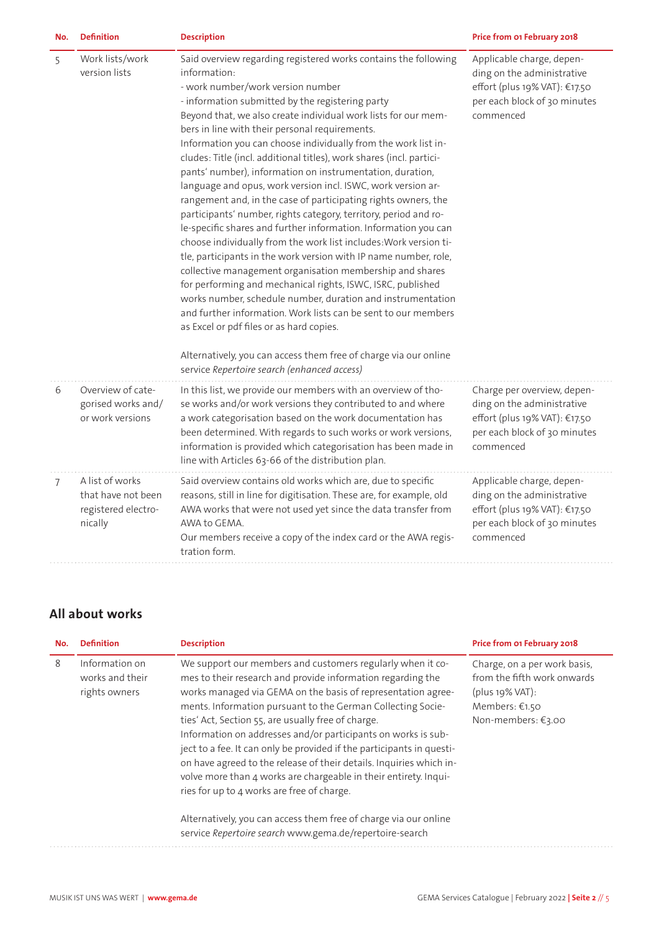| No. | <b>Definition</b>                                                       | <b>Description</b>                                                                                                                                                                                                                                                                                                                                                                                                                                                                                                                                                                                                                                                                                                                                                                                                                                                                                                                                                                                                                                                                                                                                                                                                                                                                                                                               | Price from 01 February 2018                                                                                                             |
|-----|-------------------------------------------------------------------------|--------------------------------------------------------------------------------------------------------------------------------------------------------------------------------------------------------------------------------------------------------------------------------------------------------------------------------------------------------------------------------------------------------------------------------------------------------------------------------------------------------------------------------------------------------------------------------------------------------------------------------------------------------------------------------------------------------------------------------------------------------------------------------------------------------------------------------------------------------------------------------------------------------------------------------------------------------------------------------------------------------------------------------------------------------------------------------------------------------------------------------------------------------------------------------------------------------------------------------------------------------------------------------------------------------------------------------------------------|-----------------------------------------------------------------------------------------------------------------------------------------|
| 5   | Work lists/work<br>version lists                                        | Said overview regarding registered works contains the following<br>information:<br>- work number/work version number<br>- information submitted by the registering party<br>Beyond that, we also create individual work lists for our mem-<br>bers in line with their personal requirements.<br>Information you can choose individually from the work list in-<br>cludes: Title (incl. additional titles), work shares (incl. partici-<br>pants' number), information on instrumentation, duration,<br>language and opus, work version incl. ISWC, work version ar-<br>rangement and, in the case of participating rights owners, the<br>participants' number, rights category, territory, period and ro-<br>le-specific shares and further information. Information you can<br>choose individually from the work list includes: Work version ti-<br>tle, participants in the work version with IP name number, role,<br>collective management organisation membership and shares<br>for performing and mechanical rights, ISWC, ISRC, published<br>works number, schedule number, duration and instrumentation<br>and further information. Work lists can be sent to our members<br>as Excel or pdf files or as hard copies.<br>Alternatively, you can access them free of charge via our online<br>service Repertoire search (enhanced access) | Applicable charge, depen-<br>ding on the administrative<br>effort (plus 19% VAT): €17.50<br>per each block of 30 minutes<br>commenced   |
| 6   | Overview of cate-<br>gorised works and/<br>or work versions             | In this list, we provide our members with an overview of tho-<br>se works and/or work versions they contributed to and where<br>a work categorisation based on the work documentation has<br>been determined. With regards to such works or work versions,<br>information is provided which categorisation has been made in<br>line with Articles 63-66 of the distribution plan.                                                                                                                                                                                                                                                                                                                                                                                                                                                                                                                                                                                                                                                                                                                                                                                                                                                                                                                                                                | Charge per overview, depen-<br>ding on the administrative<br>effort (plus 19% VAT): €17.50<br>per each block of 30 minutes<br>commenced |
| 7   | A list of works<br>that have not been<br>registered electro-<br>nically | Said overview contains old works which are, due to specific<br>reasons, still in line for digitisation. These are, for example, old<br>AWA works that were not used yet since the data transfer from<br>AWA to GEMA.<br>Our members receive a copy of the index card or the AWA regis-<br>tration form.                                                                                                                                                                                                                                                                                                                                                                                                                                                                                                                                                                                                                                                                                                                                                                                                                                                                                                                                                                                                                                          | Applicable charge, depen-<br>ding on the administrative<br>effort (plus 19% VAT): €17.50<br>per each block of 30 minutes<br>commenced   |

### **All about works**

| No. | <b>Definition</b>                                  | <b>Description</b>                                                                                                                                                                                                                                                                                                                                                                                                                                                                                                                                                                                                                                | Price from 01 February 2018                                                                                               |
|-----|----------------------------------------------------|---------------------------------------------------------------------------------------------------------------------------------------------------------------------------------------------------------------------------------------------------------------------------------------------------------------------------------------------------------------------------------------------------------------------------------------------------------------------------------------------------------------------------------------------------------------------------------------------------------------------------------------------------|---------------------------------------------------------------------------------------------------------------------------|
| 8   | Information on<br>works and their<br>rights owners | We support our members and customers regularly when it co-<br>mes to their research and provide information regarding the<br>works managed via GEMA on the basis of representation agree-<br>ments. Information pursuant to the German Collecting Socie-<br>ties' Act, Section 55, are usually free of charge.<br>Information on addresses and/or participants on works is sub-<br>ject to a fee. It can only be provided if the participants in questi-<br>on have agreed to the release of their details. Inquiries which in-<br>volve more than 4 works are chargeable in their entirety. Inqui-<br>ries for up to 4 works are free of charge. | Charge, on a per work basis,<br>from the fifth work onwards<br>$(plus 19\% VAT):$<br>Members: €1.50<br>Non-members: €3.00 |
|     |                                                    | Alternatively, you can access them free of charge via our online<br>service Repertoire search www.gema.de/repertoire-search                                                                                                                                                                                                                                                                                                                                                                                                                                                                                                                       |                                                                                                                           |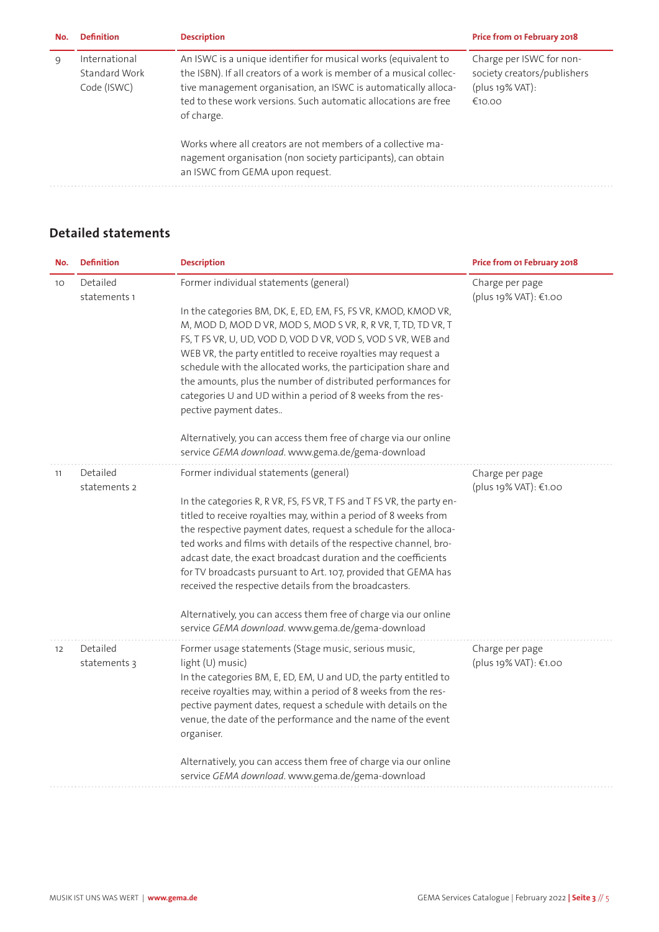| No. | <b>Definition</b>                             | <b>Description</b>                                                                                                                                                                                                                                                                        | Price from 01 February 2018                                                             |
|-----|-----------------------------------------------|-------------------------------------------------------------------------------------------------------------------------------------------------------------------------------------------------------------------------------------------------------------------------------------------|-----------------------------------------------------------------------------------------|
| q   | International<br>Standard Work<br>Code (ISWC) | An ISWC is a unique identifier for musical works (equivalent to<br>the ISBN). If all creators of a work is member of a musical collec-<br>tive management organisation, an ISWC is automatically alloca-<br>ted to these work versions. Such automatic allocations are free<br>of charge. | Charge per ISWC for non-<br>society creators/publishers<br>$(plus 19\% VAT):$<br>€10.00 |
|     |                                               | Works where all creators are not members of a collective ma-<br>nagement organisation (non society participants), can obtain<br>an ISWC from GEMA upon request.                                                                                                                           |                                                                                         |

#### **Detailed statements**

| No.             | <b>Definition</b>        | <b>Description</b>                                                                                                                                                                                                                                                                                                                                                                                                                                                                                                                                                                                                                                             | Price from 01 February 2018              |
|-----------------|--------------------------|----------------------------------------------------------------------------------------------------------------------------------------------------------------------------------------------------------------------------------------------------------------------------------------------------------------------------------------------------------------------------------------------------------------------------------------------------------------------------------------------------------------------------------------------------------------------------------------------------------------------------------------------------------------|------------------------------------------|
| 10 <sup>°</sup> | Detailed<br>statements 1 | Former individual statements (general)<br>In the categories BM, DK, E, ED, EM, FS, FS VR, KMOD, KMOD VR,<br>M, MOD D, MOD D VR, MOD S, MOD S VR, R, R VR, T, TD, TD VR, T<br>FS, T FS VR, U, UD, VOD D, VOD D VR, VOD S, VOD S VR, WEB and<br>WEB VR, the party entitled to receive royalties may request a<br>schedule with the allocated works, the participation share and<br>the amounts, plus the number of distributed performances for<br>categories U and UD within a period of 8 weeks from the res-<br>pective payment dates<br>Alternatively, you can access them free of charge via our online<br>service GEMA download. www.gema.de/gema-download | Charge per page<br>(plus 19% VAT): €1.00 |
| 11              | Detailed<br>statements 2 | Former individual statements (general)<br>In the categories R, R VR, FS, FS VR, T FS and T FS VR, the party en-<br>titled to receive royalties may, within a period of 8 weeks from<br>the respective payment dates, request a schedule for the alloca-<br>ted works and films with details of the respective channel, bro-<br>adcast date, the exact broadcast duration and the coefficients<br>for TV broadcasts pursuant to Art. 107, provided that GEMA has<br>received the respective details from the broadcasters.<br>Alternatively, you can access them free of charge via our online<br>service GEMA download. www.gema.de/gema-download              | Charge per page<br>(plus 19% VAT): €1.00 |
| 12              | Detailed<br>statements 3 | Former usage statements (Stage music, serious music,<br>light (U) music)<br>In the categories BM, E, ED, EM, U and UD, the party entitled to<br>receive royalties may, within a period of 8 weeks from the res-<br>pective payment dates, request a schedule with details on the<br>venue, the date of the performance and the name of the event<br>organiser.<br>Alternatively, you can access them free of charge via our online<br>service GEMA download. www.gema.de/gema-download                                                                                                                                                                         | Charge per page<br>(plus 19% VAT): €1.00 |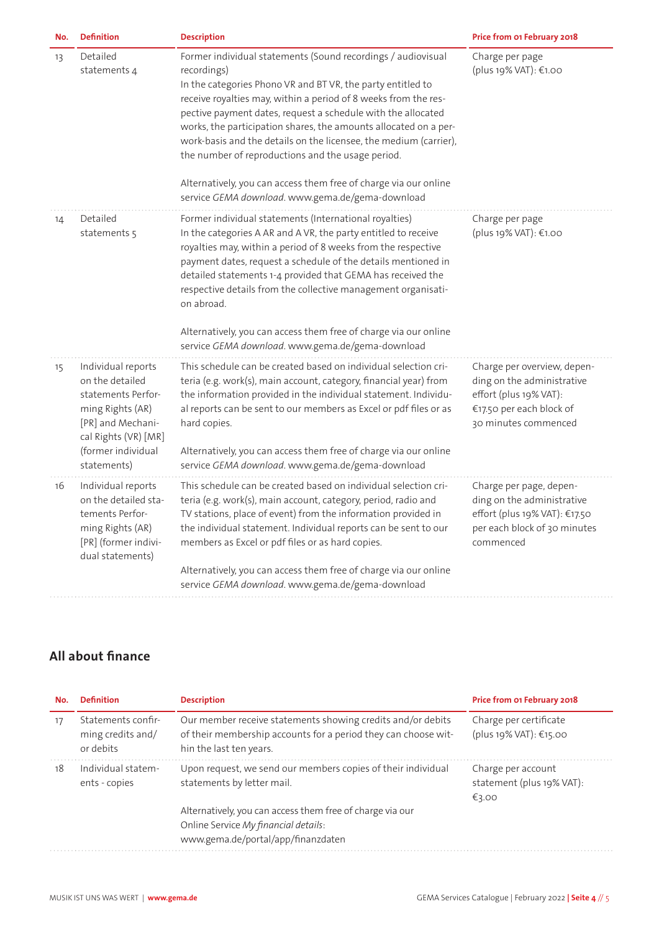| No. | <b>Definition</b>                                                                                                                                                 | <b>Description</b>                                                                                                                                                                                                                                                                                                                                                                                                                                                                                                                              | Price from 01 February 2018                                                                                                             |
|-----|-------------------------------------------------------------------------------------------------------------------------------------------------------------------|-------------------------------------------------------------------------------------------------------------------------------------------------------------------------------------------------------------------------------------------------------------------------------------------------------------------------------------------------------------------------------------------------------------------------------------------------------------------------------------------------------------------------------------------------|-----------------------------------------------------------------------------------------------------------------------------------------|
| 13  | Detailed<br>statements 4                                                                                                                                          | Former individual statements (Sound recordings / audiovisual<br>recordings)<br>In the categories Phono VR and BT VR, the party entitled to<br>receive royalties may, within a period of 8 weeks from the res-<br>pective payment dates, request a schedule with the allocated<br>works, the participation shares, the amounts allocated on a per-<br>work-basis and the details on the licensee, the medium (carrier),<br>the number of reproductions and the usage period.<br>Alternatively, you can access them free of charge via our online | Charge per page<br>(plus 19% VAT): €1.00                                                                                                |
|     |                                                                                                                                                                   | service GEMA download. www.gema.de/gema-download                                                                                                                                                                                                                                                                                                                                                                                                                                                                                                |                                                                                                                                         |
| 14  | Detailed<br>statements 5                                                                                                                                          | Former individual statements (International royalties)<br>In the categories A AR and A VR, the party entitled to receive<br>royalties may, within a period of 8 weeks from the respective<br>payment dates, request a schedule of the details mentioned in<br>detailed statements 1-4 provided that GEMA has received the<br>respective details from the collective management organisati-<br>on abroad.                                                                                                                                        | Charge per page<br>(plus 19% VAT): €1.00                                                                                                |
|     |                                                                                                                                                                   | Alternatively, you can access them free of charge via our online<br>service GEMA download. www.gema.de/gema-download                                                                                                                                                                                                                                                                                                                                                                                                                            |                                                                                                                                         |
| 15  | Individual reports<br>on the detailed<br>statements Perfor-<br>ming Rights (AR)<br>[PR] and Mechani-<br>cal Rights (VR) [MR]<br>(former individual<br>statements) | This schedule can be created based on individual selection cri-<br>teria (e.g. work(s), main account, category, financial year) from<br>the information provided in the individual statement. Individu-<br>al reports can be sent to our members as Excel or pdf files or as<br>hard copies.<br>Alternatively, you can access them free of charge via our online<br>service GEMA download. www.gema.de/gema-download                                                                                                                            | Charge per overview, depen-<br>ding on the administrative<br>effort (plus 19% VAT):<br>€17.50 per each block of<br>30 minutes commenced |
| 16  | Individual reports<br>on the detailed sta-<br>tements Perfor-<br>ming Rights (AR)<br>[PR] (former indivi-<br>dual statements)                                     | This schedule can be created based on individual selection cri-<br>teria (e.g. work(s), main account, category, period, radio and<br>TV stations, place of event) from the information provided in<br>the individual statement. Individual reports can be sent to our<br>members as Excel or pdf files or as hard copies.                                                                                                                                                                                                                       | Charge per page, depen-<br>ding on the administrative<br>effort (plus 19% VAT): €17.50<br>per each block of 30 minutes<br>commenced     |
|     |                                                                                                                                                                   | Alternatively, you can access them free of charge via our online<br>service GEMA download. www.gema.de/gema-download                                                                                                                                                                                                                                                                                                                                                                                                                            |                                                                                                                                         |

## **All about finance**

| No. | <b>Definition</b>                                    | <b>Description</b>                                                                                                                                       | Price from 01 February 2018                              |
|-----|------------------------------------------------------|----------------------------------------------------------------------------------------------------------------------------------------------------------|----------------------------------------------------------|
| 17  | Statements confir-<br>ming credits and/<br>or debits | Our member receive statements showing credits and/or debits<br>of their membership accounts for a period they can choose wit-<br>hin the last ten years. | Charge per certificate<br>(plus 19% VAT): €15.00         |
| 18  | Individual statem-<br>ents - copies                  | Upon request, we send our members copies of their individual<br>statements by letter mail.                                                               | Charge per account<br>statement (plus 19% VAT):<br>€3.00 |
|     |                                                      | Alternatively, you can access them free of charge via our                                                                                                |                                                          |
|     |                                                      | Online Service My financial details:<br>www.gema.de/portal/app/finanzdaten                                                                               |                                                          |